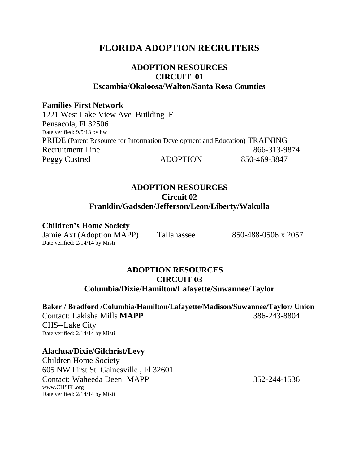# **FLORIDA ADOPTION RECRUITERS**

# **ADOPTION RESOURCES CIRCUIT 01 Escambia/Okaloosa/Walton/Santa Rosa Counties**

### **Families First Network**

1221 West Lake View Ave Building F Pensacola, Fl 32506 Date verified: 9/5/13 by hw PRIDE (Parent Resource for Information Development and Education) TRAINING Recruitment Line 866-313-9874 Peggy Custred ADOPTION 850-469-3847

## **ADOPTION RESOURCES Circuit 02 Franklin/Gadsden/Jefferson/Leon/Liberty/Wakulla**

**Children's Home Society**

Jamie Axt (Adoption MAPP) Tallahassee 850-488-0506 x 2057 Date verified: 2/14/14 by Misti

# **ADOPTION RESOURCES CIRCUIT 03 Columbia/Dixie/Hamilton/Lafayette/Suwannee/Taylor**

**Baker / Bradford /Columbia/Hamilton/Lafayette/Madison/Suwannee/Taylor/ Union** Contact: Lakisha Mills **MAPP** 386-243-8804 CHS--Lake City Date verified: 2/14/14 by Misti

# **Alachua/Dixie/Gilchrist/Levy**

Children Home Society 605 NW First St Gainesville , Fl 32601 Contact: Waheeda Deen MAPP 352-244-1536 www.CHSFL.org Date verified: 2/14/14 by Misti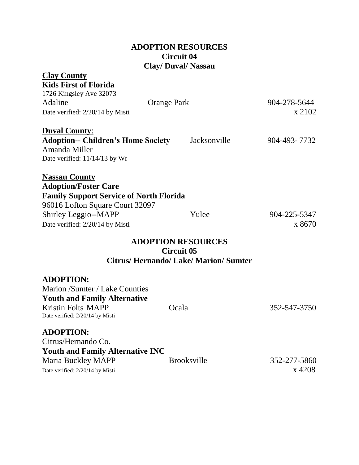| <b>ADOPTION RESOURCES</b>  |
|----------------------------|
| <b>Circuit 04</b>          |
| <b>Clay/ Duval/ Nassau</b> |

| <b>Clay County</b>                             |                                           |              |
|------------------------------------------------|-------------------------------------------|--------------|
| <b>Kids First of Florida</b>                   |                                           |              |
| 1726 Kingsley Ave 32073                        |                                           |              |
| Adaline                                        | <b>Orange Park</b>                        | 904-278-5644 |
| Date verified: 2/20/14 by Misti                |                                           | x 2102       |
| <b>Duval County:</b>                           |                                           |              |
| <b>Adoption-- Children's Home Society</b>      | Jacksonville                              | 904-493-7732 |
| Amanda Miller                                  |                                           |              |
| Date verified: 11/14/13 by Wr                  |                                           |              |
| <b>Nassau County</b>                           |                                           |              |
| <b>Adoption/Foster Care</b>                    |                                           |              |
| <b>Family Support Service of North Florida</b> |                                           |              |
| 96016 Lofton Square Court 32097                |                                           |              |
| Shirley Leggio--MAPP                           | Yulee                                     | 904-225-5347 |
| Date verified: 2/20/14 by Misti                |                                           | x 8670       |
|                                                | <b>ADOPTION RESOURCES</b>                 |              |
|                                                | <b>Circuit 05</b>                         |              |
|                                                | <b>Citrus/Hernando/Lake/Marion/Sumter</b> |              |
| <b>ADOPTION:</b>                               |                                           |              |
| Marion /Sumter / Lake Counties                 |                                           |              |
| <b>Youth and Family Alternative</b>            |                                           |              |
| <b>Kristin Folts MAPP</b>                      | Ocala                                     | 352-547-3750 |
| Date verified: 2/20/14 by Misti                |                                           |              |
| <b>ADOPTION:</b>                               |                                           |              |
| Citrus/Hernando Co.                            |                                           |              |
| <b>Youth and Family Alternative INC</b>        |                                           |              |
| Maria Buckley MAPP                             | <b>Brooksville</b>                        | 352-277-5860 |
| Date verified: 2/20/14 by Misti                |                                           | x 4208       |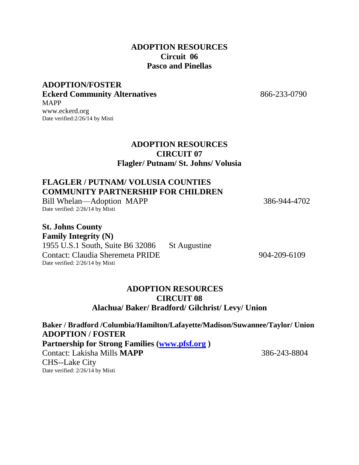## **ADOPTION RESOURCES Circuit 06 Pasco and Pinellas**

### **ADOPTION/FOSTER Eckerd Community Alternatives** 866-233-0790 MAPP [www.eckerd.org](http://www.eckerd.org/) Date verified:2/26/14 by Misti

### **ADOPTION RESOURCES CIRCUIT 07 Flagler/ Putnam/ St. Johns/ Volusia**

# **FLAGLER / PUTNAM/ VOLUSIA COUNTIES COMMUNITY PARTNERSHIP FOR CHILDREN**

Bill Whelan—Adoption MAPP 386-944-4702 Date verified: 2/26/14 by Misti

**St. Johns County Family Integrity (N)**  1955 U.S.1 South, Suite B6 32086 St Augustine Contact: Claudia Sheremeta PRIDE 904-209-6109 Date verified: 2/26/14 by Misti

# **ADOPTION RESOURCES CIRCUIT 08 Alachua/ Baker/ Bradford/ Gilchrist/ Levy/ Union**

**Baker / Bradford /Columbia/Hamilton/Lafayette/Madison/Suwannee/Taylor/ Union ADOPTION / FOSTER Partnership for Strong Families [\(www.pfsf.org](http://www.pfsf.org/) )** Contact: Lakisha Mills **MAPP** 386-243-8804 CHS--Lake City Date verified: 2/26/14 by Misti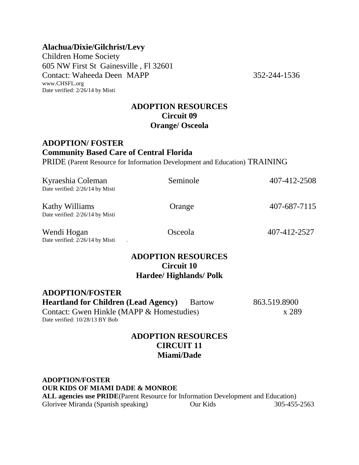### **Alachua/Dixie/Gilchrist/Levy**

Children Home Society 605 NW First St Gainesville , Fl 32601 Contact: Waheeda Deen MAPP 352-244-1536 www.CHSFL.org Date verified: 2/26/14 by Misti

### **ADOPTION RESOURCES Circuit 09 Orange/ Osceola**

## **ADOPTION/ FOSTER Community Based Care of Central Florida**

PRIDE (Parent Resource for Information Development and Education) TRAINING

| Kyraeshia Coleman<br>Date verified: 2/26/14 by Misti                                                                                                 | Seminole                                                                         | 407-412-2508          |
|------------------------------------------------------------------------------------------------------------------------------------------------------|----------------------------------------------------------------------------------|-----------------------|
| <b>Kathy Williams</b><br>Date verified: 2/26/14 by Misti                                                                                             | Orange                                                                           | 407-687-7115          |
| Wendi Hogan<br>Date verified: 2/26/14 by Misti                                                                                                       | Osceola                                                                          | 407-412-2527          |
|                                                                                                                                                      | <b>ADOPTION RESOURCES</b><br><b>Circuit 10</b><br><b>Hardee/ Highlands/ Polk</b> |                       |
| <b>ADOPTION/FOSTER</b><br><b>Heartland for Children (Lead Agency)</b><br>Contact: Gwen Hinkle (MAPP & Homestudies)<br>Date verified: 10/28/13 BY Bob | Bartow                                                                           | 863.519.8900<br>x 289 |

### **ADOPTION RESOURCES CIRCUIT 11 Miami/Dade**

**ADOPTION/FOSTER OUR KIDS OF MIAMI DADE & MONROE ALL agencies use PRIDE**(Parent Resource for Information Development and Education) Glorivee Miranda (Spanish speaking) Our Kids 305-455-2563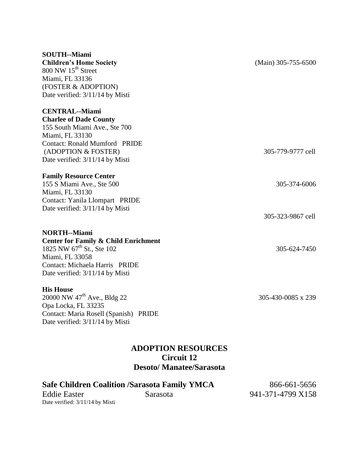| <b>SOUTH--Miami</b>                             |                       |
|-------------------------------------------------|-----------------------|
| <b>Children's Home Society</b>                  | $(Main)$ 305-755-6500 |
| 800 NW 15 <sup>th</sup> Street                  |                       |
| Miami, FL 33136                                 |                       |
| (FOSTER & ADOPTION)                             |                       |
| Date verified: 3/11/14 by Misti                 |                       |
| <b>CENTRAL--Miami</b>                           |                       |
| <b>Charlee of Dade County</b>                   |                       |
| 155 South Miami Ave., Ste 700                   |                       |
| Miami, FL 33130                                 |                       |
| <b>Contact: Ronald Mumford PRIDE</b>            |                       |
| (ADOPTION & FOSTER)                             | 305-779-9777 cell     |
| Date verified: 3/11/14 by Misti                 |                       |
| <b>Family Resource Center</b>                   |                       |
| 155 S Miami Ave., Ste 500                       | 305-374-6006          |
| Miami, FL 33130                                 |                       |
| Contact: Yanila Llompart PRIDE                  |                       |
| Date verified: 3/11/14 by Misti                 |                       |
|                                                 | 305-323-9867 cell     |
| <b>NORTH--Miami</b>                             |                       |
| <b>Center for Family &amp; Child Enrichment</b> |                       |
| 1825 NW 67 <sup>th</sup> St., Ste 102           | 305-624-7450          |
| Miami, FL 33058                                 |                       |
| Contact: Michaela Harris PRIDE                  |                       |

#### **His House**

20000 NW 47<sup>th</sup> Ave., Bldg 22 305-430-0085 x 239 Opa Locka, FL 33235 Contact: Maria Rosell (Spanish) PRIDE Date verified: 3/11/14 by Misti

Date verified: 3/11/14 by Misti

# **ADOPTION RESOURCES Circuit 12 Desoto/ Manatee/Sarasota**

# Safe Children Coalition /Sarasota Family YMCA 866-661-5656

Date verified: 3/11/14 by Misti

Eddie Easter Sarasota 941-371-4799 X158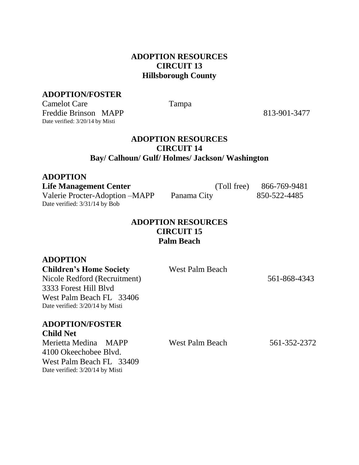## **ADOPTION RESOURCES CIRCUIT 13 Hillsborough County**

### **ADOPTION/FOSTER**

Camelot Care Tampa Freddie Brinson MAPP 813-901-3477 Date verified: 3/20/14 by Misti

### **ADOPTION RESOURCES CIRCUIT 14 Bay/ Calhoun/ Gulf/ Holmes/ Jackson/ Washington**

| <b>ADOPTION</b>                 |             |              |
|---------------------------------|-------------|--------------|
| <b>Life Management Center</b>   | (Toll free) | 866-769-9481 |
| Valerie Procter-Adoption – MAPP | Panama City | 850-522-4485 |
| Date verified: 3/31/14 by Bob   |             |              |

### **ADOPTION RESOURCES CIRCUIT 15 Palm Beach**

# **ADOPTION**

**Children's Home Society** West Palm Beach

Nicole Redford (Recruitment) 561-868-4343 3333 Forest Hill Blvd West Palm Beach FL 33406 Date verified: 3/20/14 by Misti

### **ADOPTION/FOSTER Child Net**

Merietta Medina MAPP West Palm Beach 561-352-2372 4100 Okeechobee Blvd. West Palm Beach FL 33409 Date verified: 3/20/14 by Misti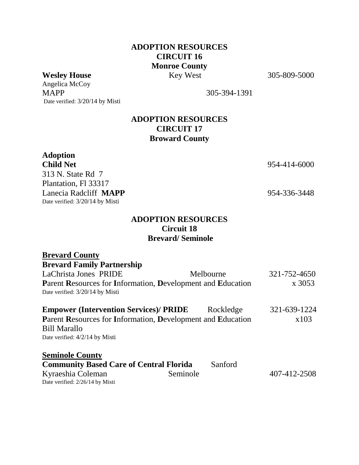# **ADOPTION RESOURCES CIRCUIT 16 Monroe County Wesley House** Key West 305-809-5000

Angelica McCoy MAPP 305-394-1391 Date verified: 3/20/14 by Misti

# **ADOPTION RESOURCES CIRCUIT 17 Broward County**

**Adoption** 313 N. State Rd 7 Plantation, Fl 33317 Lanecia Radcliff **MAPP** 954-336-3448 Date verified: 3/20/14 by Misti

**Child Net** 954-414-6000

### **ADOPTION RESOURCES Circuit 18 Brevard/ Seminole**

| <b>Brevard County</b>                                       |           |              |
|-------------------------------------------------------------|-----------|--------------|
| <b>Brevard Family Partnership</b>                           |           |              |
| LaChrista Jones PRIDE                                       | Melbourne | 321-752-4650 |
| Parent Resources for Information, Development and Education |           | x 3053       |
| Date verified: 3/20/14 by Misti                             |           |              |
| <b>Empower (Intervention Services)/ PRIDE</b>               | Rockledge | 321-639-1224 |
| Parent Resources for Information, Development and Education |           | x103         |
| <b>Bill Marallo</b>                                         |           |              |
| Date verified: 4/2/14 by Misti                              |           |              |
| <b>Seminole County</b>                                      |           |              |
| <b>Community Based Care of Central Florida</b>              | Sanford   |              |
| Kyraeshia Coleman                                           | Seminole  | 407-412-2508 |
| Date verified: 2/26/14 by Misti                             |           |              |